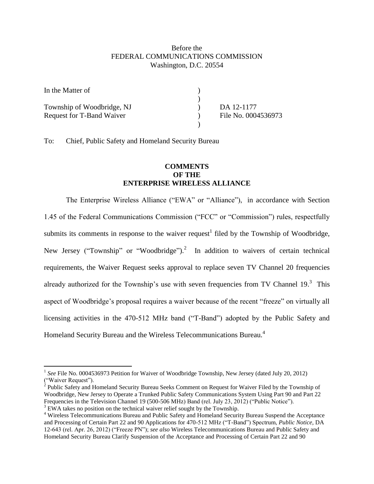## Before the FEDERAL COMMUNICATIONS COMMISSION Washington, D.C. 20554

| In the Matter of           |                     |
|----------------------------|---------------------|
|                            |                     |
| Township of Woodbridge, NJ | DA 12-1177          |
| Request for T-Band Waiver  | File No. 0004536973 |
|                            |                     |

To: Chief, Public Safety and Homeland Security Bureau

## **COMMENTS OF THE ENTERPRISE WIRELESS ALLIANCE**

The Enterprise Wireless Alliance ("EWA" or "Alliance"), in accordance with Section 1.45 of the Federal Communications Commission ("FCC" or "Commission") rules, respectfully submits its comments in response to the waiver request<sup>1</sup> filed by the Township of Woodbridge, New Jersey ("Township" or "Woodbridge").<sup>2</sup> In addition to waivers of certain technical requirements, the Waiver Request seeks approval to replace seven TV Channel 20 frequencies already authorized for the Township's use with seven frequencies from TV Channel  $19<sup>3</sup>$  This aspect of Woodbridge's proposal requires a waiver because of the recent "freeze" on virtually all licensing activities in the 470-512 MHz band ("T-Band") adopted by the Public Safety and Homeland Security Bureau and the Wireless Telecommunications Bureau.<sup>4</sup>

<sup>&</sup>lt;sup>1</sup> See File No. 0004536973 Petition for Waiver of Woodbridge Township, New Jersey (dated July 20, 2012) ("Waiver Request").

<sup>&</sup>lt;sup>2</sup> Public Safety and Homeland Security Bureau Seeks Comment on Request for Waiver Filed by the Township of Woodbridge, New Jersey to Operate a Trunked Public Safety Communications System Using Part 90 and Part 22 Frequencies in the Television Channel 19 (500-506 MHz) Band (rel. July 23, 2012) ("Public Notice").

<sup>&</sup>lt;sup>3</sup> EWA takes no position on the technical waiver relief sought by the Township.

<sup>&</sup>lt;sup>4</sup> Wireless Telecommunications Bureau and Public Safety and Homeland Security Bureau Suspend the Acceptance and Processing of Certain Part 22 and 90 Applications for 470-512 MHz ("T-Band") Spectrum, *Public Notice*, DA 12-643 (rel. Apr. 26, 2012) ("Freeze PN"); *see also* Wireless Telecommunications Bureau and Public Safety and Homeland Security Bureau Clarify Suspension of the Acceptance and Processing of Certain Part 22 and 90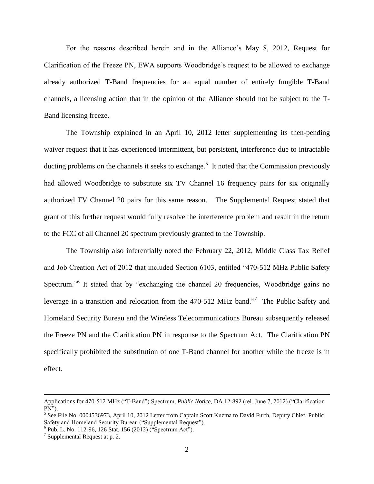For the reasons described herein and in the Alliance's May 8, 2012, Request for Clarification of the Freeze PN, EWA supports Woodbridge's request to be allowed to exchange already authorized T-Band frequencies for an equal number of entirely fungible T-Band channels, a licensing action that in the opinion of the Alliance should not be subject to the T-Band licensing freeze.

The Township explained in an April 10, 2012 letter supplementing its then-pending waiver request that it has experienced intermittent, but persistent, interference due to intractable ducting problems on the channels it seeks to exchange.<sup>5</sup> It noted that the Commission previously had allowed Woodbridge to substitute six TV Channel 16 frequency pairs for six originally authorized TV Channel 20 pairs for this same reason. The Supplemental Request stated that grant of this further request would fully resolve the interference problem and result in the return to the FCC of all Channel 20 spectrum previously granted to the Township.

The Township also inferentially noted the February 22, 2012, Middle Class Tax Relief and Job Creation Act of 2012 that included Section 6103, entitled "470-512 MHz Public Safety Spectrum."<sup>6</sup> It stated that by "exchanging the channel 20 frequencies, Woodbridge gains no leverage in a transition and relocation from the 470-512 MHz band."<sup>7</sup> The Public Safety and Homeland Security Bureau and the Wireless Telecommunications Bureau subsequently released the Freeze PN and the Clarification PN in response to the Spectrum Act. The Clarification PN specifically prohibited the substitution of one T-Band channel for another while the freeze is in effect.

Applications for 470-512 MHz ("T-Band") Spectrum, *Public Notice*, DA 12-892 (rel. June 7, 2012) ("Clarification  $PN'$ ).

<sup>&</sup>lt;sup>5</sup> See File No. 0004536973, April 10, 2012 Letter from Captain Scott Kuzma to David Furth, Deputy Chief, Public Safety and Homeland Security Bureau ("Supplemental Request").

 $6$  Pub. L. No. 112-96, 126 Stat. 156 (2012) ("Spectrum Act").

 $7$  Supplemental Request at p. 2.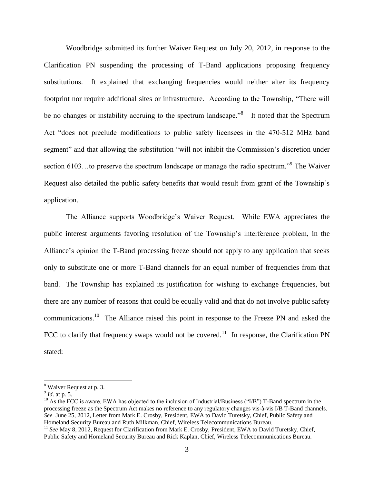Woodbridge submitted its further Waiver Request on July 20, 2012, in response to the Clarification PN suspending the processing of T-Band applications proposing frequency substitutions. It explained that exchanging frequencies would neither alter its frequency footprint nor require additional sites or infrastructure. According to the Township, "There will be no changes or instability accruing to the spectrum landscape.<sup>8</sup> It noted that the Spectrum Act "does not preclude modifications to public safety licensees in the 470-512 MHz band segment" and that allowing the substitution "will not inhibit the Commission's discretion under section 6103...to preserve the spectrum landscape or manage the radio spectrum."<sup>9</sup> The Waiver Request also detailed the public safety benefits that would result from grant of the Township's application.

The Alliance supports Woodbridge's Waiver Request. While EWA appreciates the public interest arguments favoring resolution of the Township's interference problem, in the Alliance's opinion the T-Band processing freeze should not apply to any application that seeks only to substitute one or more T-Band channels for an equal number of frequencies from that band. The Township has explained its justification for wishing to exchange frequencies, but there are any number of reasons that could be equally valid and that do not involve public safety communications.<sup>10</sup> The Alliance raised this point in response to the Freeze PN and asked the FCC to clarify that frequency swaps would not be covered.<sup>11</sup> In response, the Clarification PN stated:

<sup>8</sup> Waiver Request at p. 3.

<sup>9</sup> *Id*. at p. 5.

<sup>&</sup>lt;sup>10</sup> As the FCC is aware, EWA has objected to the inclusion of Industrial/Business ("I/B") T-Band spectrum in the processing freeze as the Spectrum Act makes no reference to any regulatory changes vis-à-vis I/B T-Band channels. *See* June 25, 2012, Letter from Mark E. Crosby, President, EWA to David Turetsky, Chief, Public Safety and Homeland Security Bureau and Ruth Milkman, Chief, Wireless Telecommunications Bureau.

<sup>&</sup>lt;sup>11</sup> See May 8, 2012, Request for Clarification from Mark E. Crosby, President, EWA to David Turetsky, Chief, Public Safety and Homeland Security Bureau and Rick Kaplan, Chief, Wireless Telecommunications Bureau.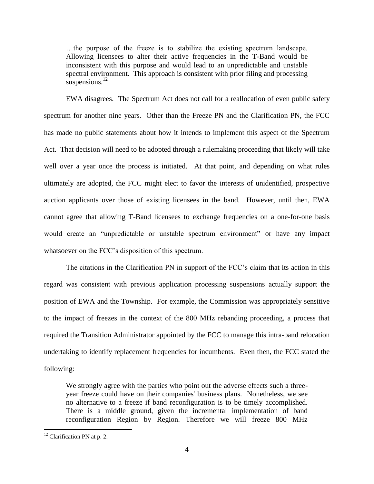…the purpose of the freeze is to stabilize the existing spectrum landscape. Allowing licensees to alter their active frequencies in the T-Band would be inconsistent with this purpose and would lead to an unpredictable and unstable spectral environment. This approach is consistent with prior filing and processing suspensions.<sup>12</sup>

EWA disagrees. The Spectrum Act does not call for a reallocation of even public safety spectrum for another nine years. Other than the Freeze PN and the Clarification PN, the FCC has made no public statements about how it intends to implement this aspect of the Spectrum Act. That decision will need to be adopted through a rulemaking proceeding that likely will take well over a year once the process is initiated. At that point, and depending on what rules ultimately are adopted, the FCC might elect to favor the interests of unidentified, prospective auction applicants over those of existing licensees in the band. However, until then, EWA cannot agree that allowing T-Band licensees to exchange frequencies on a one-for-one basis would create an "unpredictable or unstable spectrum environment" or have any impact whatsoever on the FCC's disposition of this spectrum.

The citations in the Clarification PN in support of the FCC's claim that its action in this regard was consistent with previous application processing suspensions actually support the position of EWA and the Township. For example, the Commission was appropriately sensitive to the impact of freezes in the context of the 800 MHz rebanding proceeding, a process that required the Transition Administrator appointed by the FCC to manage this intra-band relocation undertaking to identify replacement frequencies for incumbents. Even then, the FCC stated the following:

We strongly agree with the parties who point out the adverse effects such a threeyear freeze could have on their companies' business plans. Nonetheless, we see no alternative to a freeze if band reconfiguration is to be timely accomplished. There is a middle ground, given the incremental implementation of band reconfiguration Region by Region. Therefore we will freeze 800 MHz

 $12$  Clarification PN at p. 2.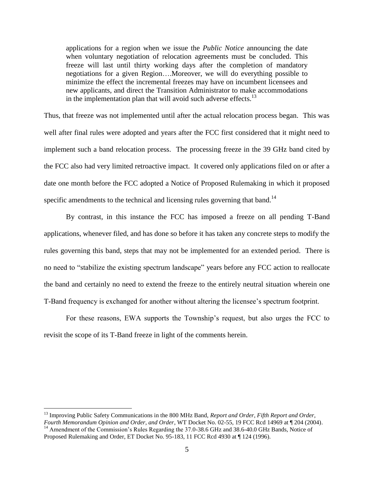applications for a region when we issue the *Public Notice* announcing the date when voluntary negotiation of relocation agreements must be concluded*.* This freeze will last until thirty working days after the completion of mandatory negotiations for a given Region….Moreover, we will do everything possible to minimize the effect the incremental freezes may have on incumbent licensees and new applicants, and direct the Transition Administrator to make accommodations in the implementation plan that will avoid such adverse effects. $^{13}$ 

Thus, that freeze was not implemented until after the actual relocation process began. This was well after final rules were adopted and years after the FCC first considered that it might need to implement such a band relocation process. The processing freeze in the 39 GHz band cited by the FCC also had very limited retroactive impact. It covered only applications filed on or after a date one month before the FCC adopted a Notice of Proposed Rulemaking in which it proposed specific amendments to the technical and licensing rules governing that band.<sup>14</sup>

By contrast, in this instance the FCC has imposed a freeze on all pending T-Band applications, whenever filed, and has done so before it has taken any concrete steps to modify the rules governing this band, steps that may not be implemented for an extended period. There is no need to "stabilize the existing spectrum landscape" years before any FCC action to reallocate the band and certainly no need to extend the freeze to the entirely neutral situation wherein one T-Band frequency is exchanged for another without altering the licensee's spectrum footprint.

For these reasons, EWA supports the Township's request, but also urges the FCC to revisit the scope of its T-Band freeze in light of the comments herein.

<sup>13</sup> Improving Public Safety Communications in the 800 MHz Band, *Report and Order, Fifth Report and Order, Fourth Memorandum Opinion and Order, and Order*, WT Docket No. 02-55, 19 FCC Rcd 14969 at ¶ 204 (2004). <sup>14</sup> Amendment of the Commission's Rules Regarding the 37.0-38.6 GHz and 38.6-40.0 GHz Bands, Notice of

Proposed Rulemaking and Order, ET Docket No. 95-183, 11 FCC Rcd 4930 at ¶ 124 (1996).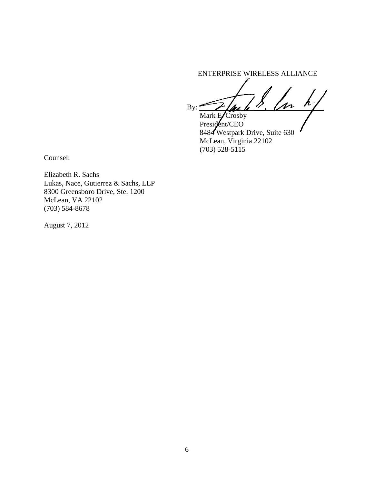ENTERPRISE WIRELESS ALLIANCE

 $By: \mathscr{L}/\mathscr{M}$  by: Mark  $E/C$ rosby

President/CEO 8484 Westpark Drive, Suite 630 McLean, Virginia 22102 (703) 528-5115

Counsel:

Elizabeth R. Sachs Lukas, Nace, Gutierrez & Sachs, LLP 8300 Greensboro Drive, Ste. 1200 McLean, VA 22102 (703) 584-8678

August 7, 2012